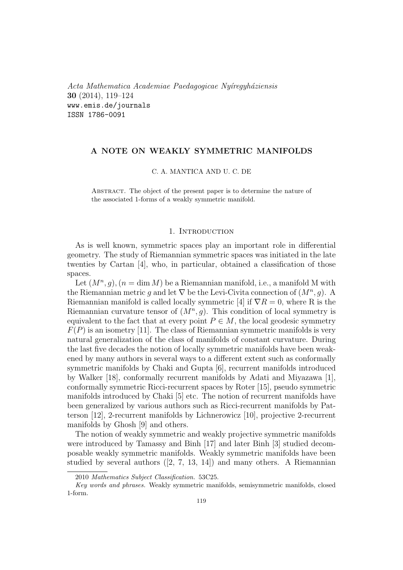*Acta Mathematica Academiae Paedagogicae Ny´ıregyh´aziensis* **30** (2014), 119–124 www.emis.de/journals ISSN 1786-0091

# **A NOTE ON WEAKLY SYMMETRIC MANIFOLDS**

#### C. A. MANTICA AND U. C. DE

Abstract. The object of the present paper is to determine the nature of the associated 1-forms of a weakly symmetric manifold.

### 1. INTRODUCTION

As is well known, symmetric spaces play an important role in differential geometry. The study of Riemannian symmetric spaces was initiated in the late twenties by Cartan [4], who, in particular, obtained a classification of those spaces.

Let  $(M^n, g)$ ,  $(n = \dim M)$  be a Riemannian manifold, i.e., a manifold M with the Riemannian metric *g* and let  $\nabla$  be the Levi-Civita connection of  $(M^n, g)$ . Riemannian manifold is called locally symmetric [4] if *∇R* = 0*,* where R is the Riemannian curvature tensor of  $(M^n, g)$ . This condition of local symmetry is equivalent to the fact that at every point  $P \in M$ , the local geodesic symmetry *F*(*P*) is an isometry [11]. The class of Riemannian symmetric manifolds is very natural generalization of the class of manifolds of constant curvature. During the last five decades the notion of locally symmetric manifolds have been weakened by many authors in several ways to a different extent such as conformally symmetric manifolds by Chaki and Gupta [6], recurrent manifolds introduced by Walker [18], conformally recurrent manifolds by Adati and Miyazawa [1], conformally symmetric Ricci-recurrent spaces by Roter [15], pseudo symmetric manifolds introduced by Chaki [5] etc. The notion of recurrent manifolds have been generalized by various authors such as Ricci-recurrent manifolds by Patterson [12], 2-recurrent manifolds by Lichnerowicz [10], projective 2-recurrent manifolds by Ghosh [9] and others.

The notion of weakly symmetric and weakly projective symmetric manifolds were introduced by Tamassy and Binh [17] and later Binh [3] studied decomposable weakly symmetric manifolds. Weakly symmetric manifolds have been studied by several authors ([2, 7, 13, 14]) and many others. A Riemannian

<sup>2010</sup> *Mathematics Subject Classification.* 53C25.

*Key words and phrases.* Weakly symmetric manifolds, semisymmetric manifolds, closed 1-form.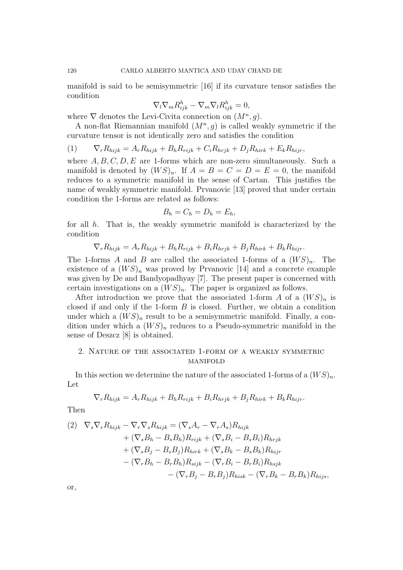manifold is said to be semisymmetric [16] if its curvature tensor satisfies the condition

$$
\nabla_l \nabla_m R_{ijk}^h - \nabla_m \nabla_l R_{ijk}^h = 0,
$$

where  $\nabla$  denotes the Levi-Civita connection on  $(M^n, g)$ .

A non-flat Riemannian manifold (*M<sup>n</sup> , g*) is called weakly symmetric if the curvature tensor is not identically zero and satisfies the condition

(1)  $\nabla_r R_{hijk} = A_r R_{hijk} + B_h R_{rijk} + C_i R_{hrjk} + D_j R_{hirk} + E_k R_{hirj},$ 

where  $A, B, C, D, E$  are 1-forms which are non-zero simultaneously. Such a manifold is denoted by  $(WS)_n$ . If  $A = B = C = D = E = 0$ , the manifold reduces to a symmetric manifold in the sense of Cartan. This justifies the name of weakly symmetric manifold. Prvanovic [13] proved that under certain condition the 1-forms are related as follows:

$$
B_h = C_h = D_h = E_h,
$$

for all *h*. That is, the weakly symmetric manifold is characterized by the condition

$$
\nabla_r R_{hijk} = A_r R_{hijk} + B_h R_{rijk} + B_i R_{hrjk} + B_j R_{hirk} + B_k R_{hijr}.
$$

The 1-forms *A* and *B* are called the associated 1-forms of a  $(W S)_n$ . The existence of a  $(WS)_n$  was proved by Prvanovic [14] and a concrete example was given by De and Bandyopadhyay [7]. The present paper is concerned with certain investigations on a  $(WS)_n$ . The paper is organized as follows.

After introduction we prove that the associated 1-form *A* of a  $(W S)_n$  is closed if and only if the 1-form *B* is closed. Further, we obtain a condition under which a  $(WS)_n$  result to be a semisymmetric manifold. Finally, a condition under which a  $(WS)_n$  reduces to a Pseudo-symmetric manifold in the sense of Deszcz [8] is obtained.

## 2. Nature of the associated 1-form of a weakly symmetric **MANIFOLD**

In this section we determine the nature of the associated 1-forms of a  $(WS)_n$ . Let

$$
\nabla_r R_{hijk} = A_r R_{hijk} + B_h R_{rijk} + B_i R_{hrjk} + B_j R_{hirk} + B_k R_{hijr}.
$$

Then

$$
(2) \nabla_s \nabla_r R_{hijk} - \nabla_r \nabla_s R_{hijk} = (\nabla_s A_r - \nabla_r A_s) R_{hijk} \n+ (\nabla_s B_h - B_s B_h) R_{rijk} + (\nabla_s B_i - B_s B_i) R_{hrjk} \n+ (\nabla_s B_j - B_s B_j) R_{hirk} + (\nabla_s B_k - B_s B_k) R_{hijr} \n- (\nabla_r B_h - B_r B_h) R_{sijk} - (\nabla_r B_i - B_r B_i) R_{hijk} \n- (\nabla_r B_j - B_r B_j) R_{hisk} - (\nabla_r B_k - B_r B_k) R_{hijs},
$$

or,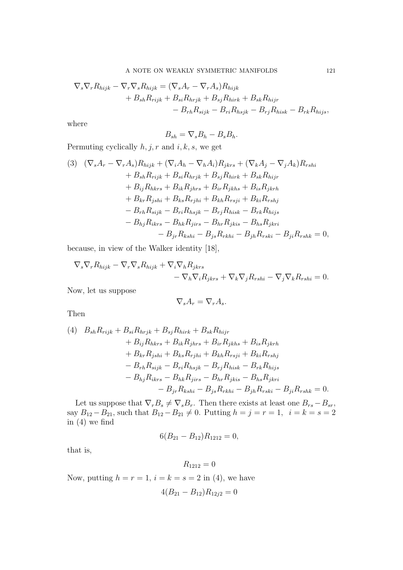$$
\nabla_s \nabla_r R_{hijk} - \nabla_r \nabla_s R_{hijk} = (\nabla_s A_r - \nabla_r A_s) R_{hijk} + B_{sh} R_{rijk} + B_{si} R_{hrjk} + B_{sj} R_{hirk} + B_{sk} R_{hijr} - B_{rh} R_{sijk} - B_{ri} R_{hsjk} - B_{rj} R_{hisk} - B_{rk} R_{hijs},
$$

where

$$
B_{sh} = \nabla_s B_h - B_s B_h.
$$

Permuting cyclically *h, j, r* and *i, k, s,* we get

(3) 
$$
(\nabla_{s}A_{r} - \nabla_{r}A_{s})R_{hijk} + (\nabla_{i}A_{h} - \nabla_{h}A_{i})R_{jkrs} + (\nabla_{k}A_{j} - \nabla_{j}A_{k})R_{rshi}
$$
  
\t $+ B_{sh}R_{rijk} + B_{si}R_{hryk} + B_{sj}R_{hirk} + B_{sk}R_{hijr}$   
\t $+ B_{ij}R_{hkrs} + B_{ik}R_{jhrs} + B_{ir}R_{jkhs} + B_{is}R_{jkrh}$   
\t $+ B_{kr}R_{jshi} + B_{ks}R_{rjhi} + B_{kh}R_{rsji} + B_{ki}R_{rshj}$   
\t $- B_{rh}R_{sijk} - B_{ri}R_{hsjk} - B_{rj}R_{hisk} - B_{rk}R_{hijs}$   
\t $- B_{hj}R_{ikrs} - B_{hk}R_{jirs} - B_{hr}R_{jkis} - B_{hs}R_{jkri}$   
\t $- B_{jr}R_{kshi} - B_{js}R_{rkhi} - B_{jh}R_{rski} - B_{ji}R_{rshk} = 0,$ 

because, in view of the Walker identity [18],

$$
\nabla_s \nabla_r R_{hijk} - \nabla_r \nabla_s R_{hijk} + \nabla_i \nabla_h R_{jkrs} - \nabla_h \nabla_i R_{jkrs} + \nabla_k \nabla_j R_{rshi} - \nabla_j \nabla_k R_{rshi} = 0.
$$

Now, let us suppose

$$
\nabla_s A_r = \nabla_r A_s.
$$

Then

(4) 
$$
B_{sh}R_{rijk} + B_{si}R_{hryk} + B_{sj}R_{hirk} + B_{sk}R_{hijr}
$$
  
+  $B_{ij}R_{hkrs} + B_{ik}R_{jhrs} + B_{ir}R_{jkhs} + B_{is}R_{jkrh}$   
+  $B_{kr}R_{jshi} + B_{ks}R_{rjhi} + B_{kh}R_{rsji} + B_{ki}R_{rshj}$   
-  $B_{rh}R_{sijk} - B_{ri}R_{hsjk} - B_{rj}R_{hisk} - B_{rk}R_{hijs}$   
-  $B_{hj}R_{ikrs} - B_{hk}R_{jirs} - B_{hr}R_{jkis} - B_{hs}R_{jkri}$   
-  $B_{jr}R_{kshi} - B_{js}R_{rkhi} - B_{jh}R_{rski} - B_{ji}R_{rshk} = 0.$ 

Let us suppose that  $\nabla_r B_s \neq \nabla_s B_r$ . Then there exists at least one  $B_{rs} - B_{sr}$ ,  $\sup_{i} B_{12} - B_{21}$ , such that  $B_{12} - B_{21} \neq 0$ . Putting  $h = j = r = 1$ ,  $i = k = s = 2$ in (4) we find

$$
6(B_{21}-B_{12})R_{1212}=0,
$$

that is,

$$
R_{1212}=0
$$

Now, putting  $h = r = 1$ ,  $i = k = s = 2$  in (4), we have

$$
4(B_{21} - B_{12})R_{12j2} = 0
$$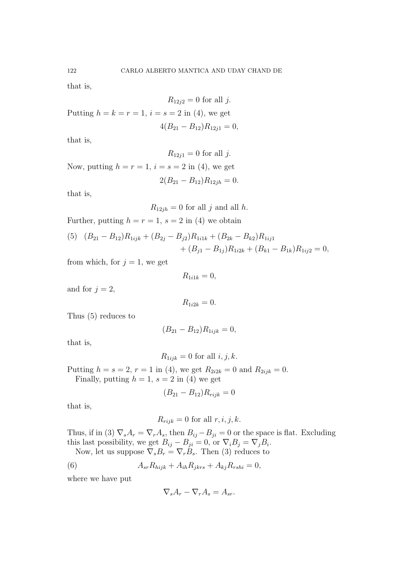that is,

$$
R_{12j2} = 0 \text{ for all } j.
$$
Putting  $h = k = r = 1$ ,  $i = s = 2$  in (4), we get  

$$
4(B_{21} - B_{12})R_{12j1} = 0,
$$

that is,

 $R_{12j1} = 0$  for all *j*.

Now, putting  $h = r = 1$ ,  $i = s = 2$  in (4), we get  $2(B_{21} - B_{12})R_{12jh} = 0.$ 

that is,

 $R_{12jh} = 0$  for all *j* and all *h*.

Further, putting  $h = r = 1$ ,  $s = 2$  in (4) we obtain

(5) 
$$
(B_{21} - B_{12})R_{1ijk} + (B_{2j} - B_{j2})R_{1i1k} + (B_{2k} - B_{k2})R_{1ij1} + (B_{j1} - B_{1j})R_{1i2k} + (B_{k1} - B_{1k})R_{1ij2} = 0,
$$

from which, for  $j = 1$ , we get

$$
R_{1i1k} = 0,
$$

and for  $j = 2$ ,

 $R_{1i2k} = 0.$ 

Thus (5) reduces to

$$
(B_{21} - B_{12})R_{1ijk} = 0,
$$

that is,

$$
R_{1ijk} = 0
$$
 for all  $i, j, k$ .

Putting  $h = s = 2$ ,  $r = 1$  in (4), we get  $R_{2i2k} = 0$  and  $R_{2ijk} = 0$ . Finally, putting  $h = 1$ ,  $s = 2$  in (4) we get

$$
(B_{21} - B_{12})R_{rijk} = 0
$$

that is,

 $R_{rijk} = 0$  for all  $r, i, j, k$ .

Thus, if in (3)  $\nabla_s A_r = \nabla_r A_s$ , then  $B_{ij} - B_{ji} = 0$  or the space is flat. Excluding this last possibility, we get  $B_{ij} - B_{ji} = 0$ , or  $\nabla_i B_j = \nabla_j B_i$ . Now, let us suppose  $\nabla_s B_r = \nabla_r B_s$ . Then (3) reduces to

(6) 
$$
A_{sr}R_{hijk} + A_{ih}R_{jkrs} + A_{kj}R_{rshi} = 0,
$$

where we have put

$$
\nabla_s A_r - \nabla_r A_s = A_{sr}.
$$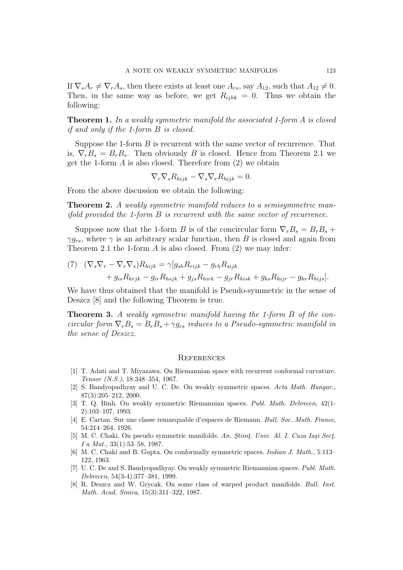If  $\nabla_s A_r \neq \nabla_r A_s$ , then there exists at least one  $A_{rs}$ , say  $A_{12}$ , such that  $A_{12} \neq 0$ . Then, in the same way as before, we get  $R_{ijhk} = 0$ . Thus we obtain the following:

**Theorem 1.** *In a weakly symmetric manifold the associated 1-form A is closed if and only if the 1-form B is closed.*

Suppose the 1-form *B* is recurrent with the same vector of recurrence. That is,  $\nabla_r B_s = B_r B_s$ . Then obviously *B* is closed. Hence from Theorem 2.1 we get the 1-form *A* is also closed. Therefore from (2) we obtain

$$
\nabla_r \nabla_s R_{hijk} - \nabla_s \nabla_r R_{hijk} = 0.
$$

From the above discussion we obtain the following:

**Theorem 2.** *A weakly symmetric manifold reduces to a semisymmetric manifold provided the 1-form B is recurrent with the same vector of recurrence.*

Suppose now that the 1-form *B* is of the concircular form  $\nabla_r B_s = B_r B_s +$  $\gamma g_{rs}$ , where  $\gamma$  is an arbitrary scalar function, then *B* is closed and again from Theorem 2.1 the 1-form *A* is also closed. From (2) we may infer:

(7) 
$$
(\nabla_s \nabla_r - \nabla_r \nabla_s) R_{hijk} = \gamma [g_{sh} R_{rijk} - g_{rh} R_{sijk} + g_{is} R_{hijk} - g_{ir} R_{hsjk} - g_{jr} R_{hisk} + g_{ks} R_{hijr} - g_{kr} R_{hijs}].
$$

We have thus obtained that the manifold is Pseudo-symmetric in the sense of Deszcz [8] and the following Theorem is true.

**Theorem 3.** *A weakly symmetric manifold having the 1-form B of the concircular form*  $\nabla_r B_s = B_r B_s + \gamma g_{rs}$  *reduces to a Pseudo-symmetric manifold in the sense of Deszcz.*

#### **REFERENCES**

- [1] T. Adati and T. Miyazawa. On Riemannian space with recurrent conformal curvature. *Tensor (N.S.)*, 18:348–354, 1967.
- [2] S. Bandyopadhyay and U. C. De. On weakly symmetric spaces. *Acta Math. Hungar.*, 87(3):205–212, 2000.
- [3] T. Q. Binh. On weakly symmetric Riemannian spaces. *Publ. Math. Debrecen*, 42(1- 2):103–107, 1993.
- [4] E. Cartan. Sur une classe remarquable d'espaces de Riemann. *Bull. Soc. Math. France*, 54:214–264, 1926.
- [5] M. C. Chaki. On pseudo symmetric manifolds. An. Stiint. Univ. Al. I. Cuza Iași Sect. *I a Mat.*, 33(1):53–58, 1987.
- [6] M. C. Chaki and B. Gupta. On conformally symmetric spaces. *Indian J. Math.*, 5:113– 122, 1963.
- [7] U. C. De and S. Bandyopadhyay. On weakly symmetric Riemannian spaces. *Publ. Math. Debrecen*, 54(3-4):377–381, 1999.
- [8] R. Deszcz and W. Grycak. On some class of warped product manifolds. *Bull. Inst. Math. Acad. Sinica*, 15(3):311–322, 1987.